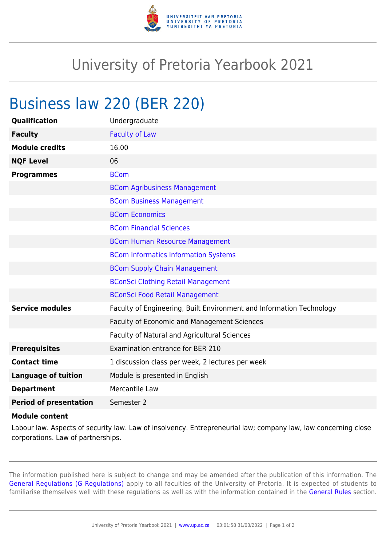

## University of Pretoria Yearbook 2021

## Business law 220 (BER 220)

| Qualification                           | Undergraduate                                                        |
|-----------------------------------------|----------------------------------------------------------------------|
| <b>Faculty</b>                          | <b>Faculty of Law</b>                                                |
| <b>Module credits</b>                   | 16.00                                                                |
| <b>NQF Level</b>                        | 06                                                                   |
| <b>Programmes</b>                       | <b>BCom</b>                                                          |
|                                         | <b>BCom Agribusiness Management</b>                                  |
|                                         | <b>BCom Business Management</b>                                      |
|                                         | <b>BCom Economics</b>                                                |
|                                         | <b>BCom Financial Sciences</b>                                       |
|                                         | <b>BCom Human Resource Management</b>                                |
|                                         | <b>BCom Informatics Information Systems</b>                          |
|                                         | <b>BCom Supply Chain Management</b>                                  |
|                                         | <b>BConSci Clothing Retail Management</b>                            |
|                                         | <b>BConSci Food Retail Management</b>                                |
| <b>Service modules</b>                  | Faculty of Engineering, Built Environment and Information Technology |
|                                         | Faculty of Economic and Management Sciences                          |
|                                         | Faculty of Natural and Agricultural Sciences                         |
| <b>Prerequisites</b>                    | Examination entrance for BER 210                                     |
| <b>Contact time</b>                     | 1 discussion class per week, 2 lectures per week                     |
| <b>Language of tuition</b>              | Module is presented in English                                       |
| <b>Department</b>                       | Mercantile Law                                                       |
| <b>Period of presentation</b>           | Semester 2                                                           |
| the collection of the collection of the |                                                                      |

## **Module content**

Labour law. Aspects of security law. Law of insolvency. Entrepreneurial law; company law, law concerning close corporations. Law of partnerships.

The information published here is subject to change and may be amended after the publication of this information. The [General Regulations \(G Regulations\)](https://www.up.ac.za/faculty-of-education/yearbooks/2021/rules/view/REG) apply to all faculties of the University of Pretoria. It is expected of students to familiarise themselves well with these regulations as well as with the information contained in the [General Rules](https://www.up.ac.za/faculty-of-education/yearbooks/2021/rules/view/RUL) section.